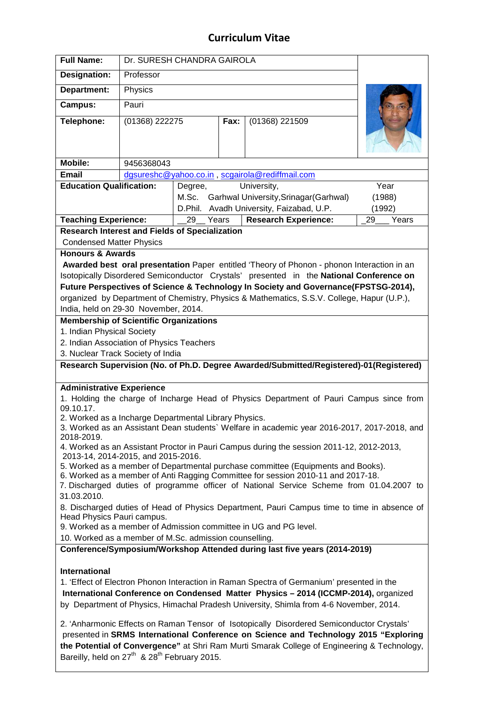## **Curriculum Vitae**

| <b>Full Name:</b>                                                                                                                                                                                                                                                                | Dr. SURESH CHANDRA GAIROLA                      |                                              |                        |        |        |
|----------------------------------------------------------------------------------------------------------------------------------------------------------------------------------------------------------------------------------------------------------------------------------|-------------------------------------------------|----------------------------------------------|------------------------|--------|--------|
| <b>Designation:</b>                                                                                                                                                                                                                                                              | Professor                                       |                                              |                        |        |        |
| Department:                                                                                                                                                                                                                                                                      | Physics                                         |                                              |                        |        |        |
| <b>Campus:</b>                                                                                                                                                                                                                                                                   | Pauri                                           |                                              |                        |        |        |
| Telephone:                                                                                                                                                                                                                                                                       | (01368) 222275                                  |                                              | Fax:<br>(01368) 221509 |        |        |
|                                                                                                                                                                                                                                                                                  |                                                 |                                              |                        |        |        |
|                                                                                                                                                                                                                                                                                  |                                                 |                                              |                        |        |        |
| <b>Mobile:</b>                                                                                                                                                                                                                                                                   | 9456368043                                      |                                              |                        |        |        |
| <b>Email</b>                                                                                                                                                                                                                                                                     | dgsureshc@yahoo.co.in, scgairola@rediffmail.com |                                              |                        |        |        |
| <b>Education Qualification:</b><br>University,<br>Degree,                                                                                                                                                                                                                        |                                                 |                                              |                        |        | Year   |
|                                                                                                                                                                                                                                                                                  |                                                 | M.Sc. Garhwal University, Srinagar (Garhwal) |                        |        | (1988) |
|                                                                                                                                                                                                                                                                                  |                                                 | D.Phil. Avadh University, Faizabad, U.P.     |                        | (1992) |        |
| <b>Teaching Experience:</b><br><b>Research Experience:</b><br>29<br>Years<br>29<br>Years                                                                                                                                                                                         |                                                 |                                              |                        |        |        |
| <b>Research Interest and Fields of Specialization</b><br><b>Condensed Matter Physics</b>                                                                                                                                                                                         |                                                 |                                              |                        |        |        |
| <b>Honours &amp; Awards</b>                                                                                                                                                                                                                                                      |                                                 |                                              |                        |        |        |
| Awarded best oral presentation Paper entitled 'Theory of Phonon - phonon Interaction in an                                                                                                                                                                                       |                                                 |                                              |                        |        |        |
| Isotopically Disordered Semiconductor Crystals' presented in the National Conference on                                                                                                                                                                                          |                                                 |                                              |                        |        |        |
| Future Perspectives of Science & Technology In Society and Governance(FPSTSG-2014),                                                                                                                                                                                              |                                                 |                                              |                        |        |        |
| organized by Department of Chemistry, Physics & Mathematics, S.S.V. College, Hapur (U.P.),                                                                                                                                                                                       |                                                 |                                              |                        |        |        |
| India, held on 29-30 November, 2014.                                                                                                                                                                                                                                             |                                                 |                                              |                        |        |        |
| <b>Membership of Scientific Organizations</b>                                                                                                                                                                                                                                    |                                                 |                                              |                        |        |        |
| 1. Indian Physical Society<br>2. Indian Association of Physics Teachers                                                                                                                                                                                                          |                                                 |                                              |                        |        |        |
| 3. Nuclear Track Society of India                                                                                                                                                                                                                                                |                                                 |                                              |                        |        |        |
| Research Supervision (No. of Ph.D. Degree Awarded/Submitted/Registered)-01(Registered)                                                                                                                                                                                           |                                                 |                                              |                        |        |        |
|                                                                                                                                                                                                                                                                                  |                                                 |                                              |                        |        |        |
| <b>Administrative Experience</b>                                                                                                                                                                                                                                                 |                                                 |                                              |                        |        |        |
| 1. Holding the charge of Incharge Head of Physics Department of Pauri Campus since from<br>09.10.17.                                                                                                                                                                             |                                                 |                                              |                        |        |        |
| 2. Worked as a Incharge Departmental Library Physics.<br>3. Worked as an Assistant Dean students` Welfare in academic year 2016-2017, 2017-2018, and<br>2018-2019.                                                                                                               |                                                 |                                              |                        |        |        |
| 4. Worked as an Assistant Proctor in Pauri Campus during the session 2011-12, 2012-2013,<br>2013-14, 2014-2015, and 2015-2016.                                                                                                                                                   |                                                 |                                              |                        |        |        |
| 5. Worked as a member of Departmental purchase committee (Equipments and Books).                                                                                                                                                                                                 |                                                 |                                              |                        |        |        |
| 6. Worked as a member of Anti Ragging Committee for session 2010-11 and 2017-18.<br>7. Discharged duties of programme officer of National Service Scheme from 01.04.2007 to<br>31.03.2010.                                                                                       |                                                 |                                              |                        |        |        |
| 8. Discharged duties of Head of Physics Department, Pauri Campus time to time in absence of<br>Head Physics Pauri campus.                                                                                                                                                        |                                                 |                                              |                        |        |        |
| 9. Worked as a member of Admission committee in UG and PG level.                                                                                                                                                                                                                 |                                                 |                                              |                        |        |        |
| 10. Worked as a member of M.Sc. admission counselling.                                                                                                                                                                                                                           |                                                 |                                              |                        |        |        |
| Conference/Symposium/Workshop Attended during last five years (2014-2019)                                                                                                                                                                                                        |                                                 |                                              |                        |        |        |
| <b>International</b>                                                                                                                                                                                                                                                             |                                                 |                                              |                        |        |        |
| 1. 'Effect of Electron Phonon Interaction in Raman Spectra of Germanium' presented in the                                                                                                                                                                                        |                                                 |                                              |                        |        |        |
| International Conference on Condensed Matter Physics - 2014 (ICCMP-2014), organized                                                                                                                                                                                              |                                                 |                                              |                        |        |        |
| by Department of Physics, Himachal Pradesh University, Shimla from 4-6 November, 2014.                                                                                                                                                                                           |                                                 |                                              |                        |        |        |
| 2. 'Anharmonic Effects on Raman Tensor of Isotopically Disordered Semiconductor Crystals'<br>presented in SRMS International Conference on Science and Technology 2015 "Exploring<br>the Potential of Convergence" at Shri Ram Murti Smarak College of Engineering & Technology, |                                                 |                                              |                        |        |        |
| Bareilly, held on 27 <sup>th</sup> & 28 <sup>th</sup> February 2015.                                                                                                                                                                                                             |                                                 |                                              |                        |        |        |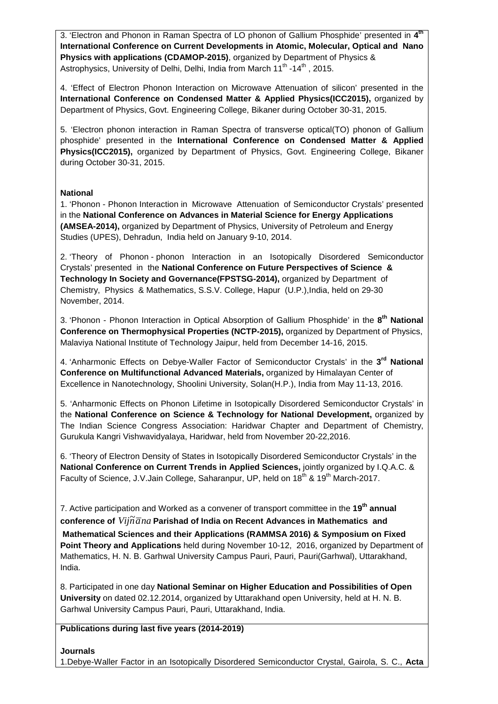3. 'Electron and Phonon in Raman Spectra of LO phonon of Gallium Phosphide' presented in **4 th International Conference on Current Developments in Atomic, Molecular, Optical and Nano Physics with applications (CDAMOP-2015)**, organized by Department of Physics & Astrophysics, University of Delhi, Delhi, India from March 11<sup>th</sup> -14<sup>th</sup>, 2015.

4. 'Effect of Electron Phonon Interaction on Microwave Attenuation of silicon' presented in the **International Conference on Condensed Matter & Applied Physics(ICC2015),** organized by Department of Physics, Govt. Engineering College, Bikaner during October 30-31, 2015.

5. 'Electron phonon interaction in Raman Spectra of transverse optical(TO) phonon of Gallium phosphide' presented in the **International Conference on Condensed Matter & Applied Physics(ICC2015),** organized by Department of Physics, Govt. Engineering College, Bikaner during October 30-31, 2015.

## **National**

1. 'Phonon - Phonon Interaction in Microwave Attenuation of Semiconductor Crystals' presented in the **National Conference on Advances in Material Science for Energy Applications (AMSEA-2014),** organized by Department of Physics, University of Petroleum and Energy Studies (UPES), Dehradun, India held on January 9-10, 2014.

2. 'Theory of Phonon - phonon Interaction in an Isotopically Disordered Semiconductor Crystals' presented in the **National Conference on Future Perspectives of Science & Technology In Society and Governance(FPSTSG-2014),** organized by Department of Chemistry, Physics & Mathematics, S.S.V. College, Hapur (U.P.),India, held on 29-30 November, 2014.

3. 'Phonon - Phonon Interaction in Optical Absorption of Gallium Phosphide' in the **8 th National Conference on Thermophysical Properties (NCTP-2015),** organized by Department of Physics, Malaviya National Institute of Technology Jaipur, held from December 14-16, 2015.

4. 'Anharmonic Effects on Debye-Waller Factor of Semiconductor Crystals' in the 3<sup>rd</sup> National **Conference on Multifunctional Advanced Materials,** organized by Himalayan Center of Excellence in Nanotechnology, Shoolini University, Solan(H.P.), India from May 11-13, 2016.

5. 'Anharmonic Effects on Phonon Lifetime in Isotopically Disordered Semiconductor Crystals' in the **National Conference on Science & Technology for National Development,** organized by The Indian Science Congress Association: Haridwar Chapter and Department of Chemistry, Gurukula Kangri Vishwavidyalaya, Haridwar, held from November 20-22,2016.

6. 'Theory of Electron Density of States in Isotopically Disordered Semiconductor Crystals' in the **National Conference on Current Trends in Applied Sciences,** jointly organized by I.Q.A.C. & Faculty of Science, J.V.Jain College, Saharanpur, UP, held on 18<sup>th</sup> & 19<sup>th</sup> March-2017.

7. Active participation and Worked as a convener of transport committee in the **19th annual**   $\frac{1}{2}$  conference of  $Vij\widetilde{n}\,\overline{a}na$  Parishad of India on Recent Advances in Mathematics and

 **Mathematical Sciences and their Applications (RAMMSA 2016) & Symposium on Fixed Point Theory and Applications** held during November 10-12, 2016, organized by Department of Mathematics, H. N. B. Garhwal University Campus Pauri, Pauri, Pauri(Garhwal), Uttarakhand, India.

8. Participated in one day **National Seminar on Higher Education and Possibilities of Open University** on dated 02.12.2014, organized by Uttarakhand open University, held at H. N. B. Garhwal University Campus Pauri, Pauri, Uttarakhand, India.

**Publications during last five years (2014-2019)** 

**Journals**  1.Debye-Waller Factor in an Isotopically Disordered Semiconductor Crystal, Gairola, S. C., **Acta**